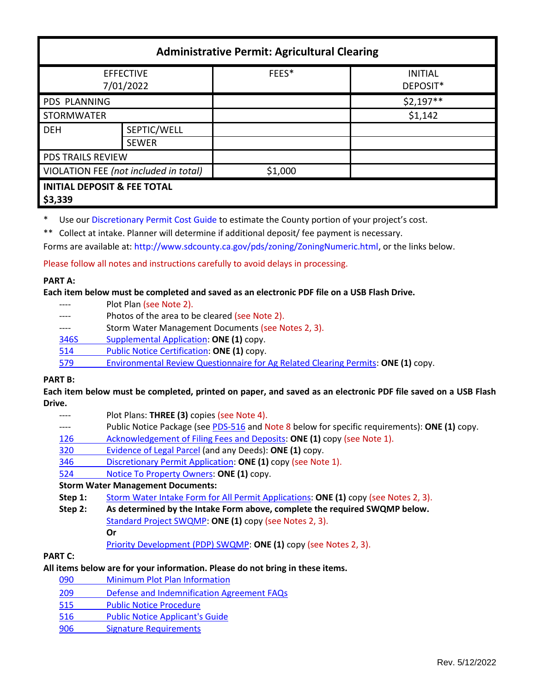| <b>Administrative Permit: Agricultural Clearing</b> |                             |         |                            |  |
|-----------------------------------------------------|-----------------------------|---------|----------------------------|--|
| <b>EFFECTIVE</b><br>7/01/2022                       |                             | FEES*   | <b>INITIAL</b><br>DEPOSIT* |  |
| <b>PDS PLANNING</b>                                 |                             |         | $$2,197**$$                |  |
| <b>STORMWATER</b>                                   |                             |         | \$1,142                    |  |
| <b>DEH</b>                                          | SEPTIC/WELL<br><b>SEWER</b> |         |                            |  |
| PDS TRAILS REVIEW                                   |                             |         |                            |  |
| VIOLATION FEE (not included in total)               |                             | \$1,000 |                            |  |
| <b>INITIAL DEPOSIT &amp; FEE TOTAL</b><br>\$3,339   |                             |         |                            |  |

\* Use ou[r Discretionary Permit Cost Guide](http://www.sandiegocounty.gov/content/dam/sdc/pds/docs/Discretionary_Permit_Cost_Guide.xlsx) to estimate the County portion of your project's cost.

\*\* Collect at intake. Planner will determine if additional deposit/ fee payment is necessary.

Forms are available at: [http://www.sdcounty.ca.gov/pds/zoning/ZoningNumeric.html,](http://www.sdcounty.ca.gov/pds/zoning/ZoningNumeric.html) or the links below.

Please follow all notes and instructions carefully to avoid delays in processing.

#### **PART A:**

**Each item below must be completed and saved as an electronic PDF file on a USB Flash Drive.**

- ---- Plot Plan (see Note 2).
- ---- Photos of the area to be cleared (see Note 2).
- ---- Storm Water Management Documents (see Notes 2, 3).
- [346S Supplemental Application:](http://www.sdcounty.ca.gov/pds/zoning/formfields/PDS-PLN-346S.pdf) **ONE (1)** copy.
- [514 Public Notice Certification:](https://www.sandiegocounty.gov/pds/zoning/formfields/PDS-PLN-514.pdf) **ONE (1)** copy.
- 579 [Environmental Review Questionnaire for Ag Related Clearing Permits:](https://www.sandiegocounty.gov/pds/zoning/formfields/PDS-PLN-579.pdf) **ONE (1)** copy.

### **PART B:**

**Each item below must be completed, printed on paper, and saved as an electronic PDF file saved on a USB Flash Drive.**

- Plot Plans: **THREE (3)** copies (see Note 4).
- ---- Public Notice Package (se[e PDS-516](https://www.sandiegocounty.gov/pds/zoning/formfields/PDS-PLN-516.pdf) and Note 8 below for specific requirements): **ONE (1)** copy.
- [126 Acknowledgement of Filing Fees and Deposits:](https://www.sandiegocounty.gov/pds/zoning/formfields/PDS-PLN-126.pdf) **ONE (1)** copy (see Note 1).
- 320 [Evidence of Legal Parcel](https://www.sandiegocounty.gov/content/dam/sdc/pds/zoning/formfields/PDS-PLN-320.pdf) (and any Deeds): **ONE (1)** copy.
- 346 [Discretionary Permit](https://www.sandiegocounty.gov/content/dam/sdc/pds/zoning/formfields/PDS-PLN-346.pdf) Application: **ONE (1)** copy (see Note 1).
- 524 Notice To [Property Owners:](https://www.sandiegocounty.gov/content/dam/sdc/pds/zoning/formfields/PDS-PLN-524.pdf) **ONE (1)** copy.

# **Storm Water Management Documents:**

- **Step 1:** [Storm Water Intake Form for All Permit Applications:](http://www.sandiegocounty.gov/content/dam/sdc/pds/zoning/formfields/SWQMP-Intake-Form.pdf) **ONE (1)** copy (see Notes 2, 3).
- **Step 2: As determined by the Intake Form above, complete the required SWQMP below.**
	- [Standard Project SWQMP:](http://www.sandiegocounty.gov/content/dam/sdc/pds/zoning/formfields/SWQMP-Standard.pdf) **ONE (1)** copy (see Notes 2, 3). **Or**
		- [Priority Development \(PDP\) SWQMP:](https://www.sandiegocounty.gov/content/sdc/dpw/watersheds/DevelopmentandConstruction/BMP_Design_Manual.html) **ONE (1)** copy (see Notes 2, 3).

# **PART C:**

# **All items below are for your information. Please do not bring in these items.**

- 090 [Minimum Plot Plan Information](http://www.sdcounty.ca.gov/pds/docs/pds090.pdf)
- 209 [Defense and Indemnification Agreement FAQs](https://www.sandiegocounty.gov/content/dam/sdc/pds/zoning/formfields/PDS-PLN-209.pdf)
- 515 [Public Notice Procedure](https://www.sandiegocounty.gov/content/dam/sdc/pds/zoning/formfields/PDS-PLN-515.pdf)
- [516 Public Notice Applicant's Guide](https://www.sandiegocounty.gov/content/dam/sdc/pds/zoning/formfields/PDS-PLN-516.pdf)
- 906 Signature Requirements